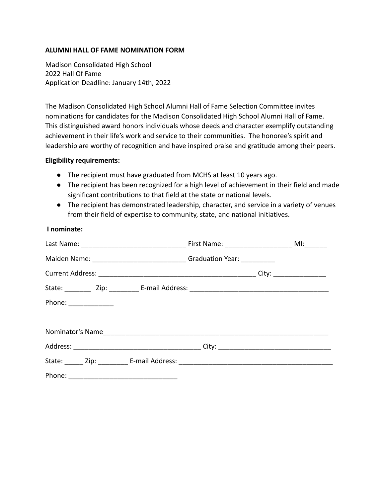# **ALUMNI HALL OF FAME NOMINATION FORM**

Madison Consolidated High School 2022 Hall Of Fame Application Deadline: January 14th, 2022

The Madison Consolidated High School Alumni Hall of Fame Selection Committee invites nominations for candidates for the Madison Consolidated High School Alumni Hall of Fame. This distinguished award honors individuals whose deeds and character exemplify outstanding achievement in their life's work and service to their communities. The honoree's spirit and leadership are worthy of recognition and have inspired praise and gratitude among their peers.

#### **Eligibility requirements:**

- **●** The recipient must have graduated from MCHS at least 10 years ago.
- **●** The recipient has been recognized for a high level of achievement in their field and made significant contributions to that field at the state or national levels.
- **●** The recipient has demonstrated leadership, character, and service in a variety of venues from their field of expertise to community, state, and national initiatives.

# **I nominate:**

| Maiden Name: ________________________________Graduation Year: ____________ |  |  |
|----------------------------------------------------------------------------|--|--|
|                                                                            |  |  |
|                                                                            |  |  |
| Phone: _______________                                                     |  |  |
|                                                                            |  |  |
|                                                                            |  |  |
|                                                                            |  |  |
|                                                                            |  |  |
|                                                                            |  |  |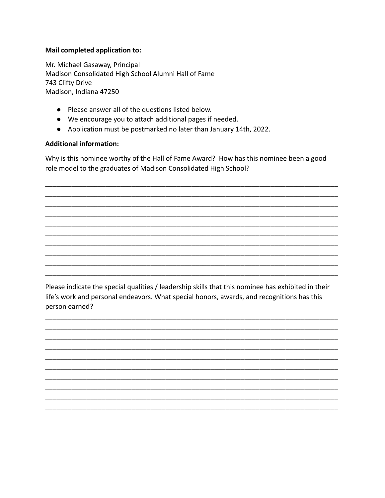# Mail completed application to:

Mr. Michael Gasaway, Principal Madison Consolidated High School Alumni Hall of Fame 743 Clifty Drive Madison, Indiana 47250

- Please answer all of the questions listed below.
- We encourage you to attach additional pages if needed.
- Application must be postmarked no later than January 14th, 2022.

# **Additional information:**

Why is this nominee worthy of the Hall of Fame Award? How has this nominee been a good role model to the graduates of Madison Consolidated High School?

Please indicate the special qualities / leadership skills that this nominee has exhibited in their life's work and personal endeavors. What special honors, awards, and recognitions has this person earned?